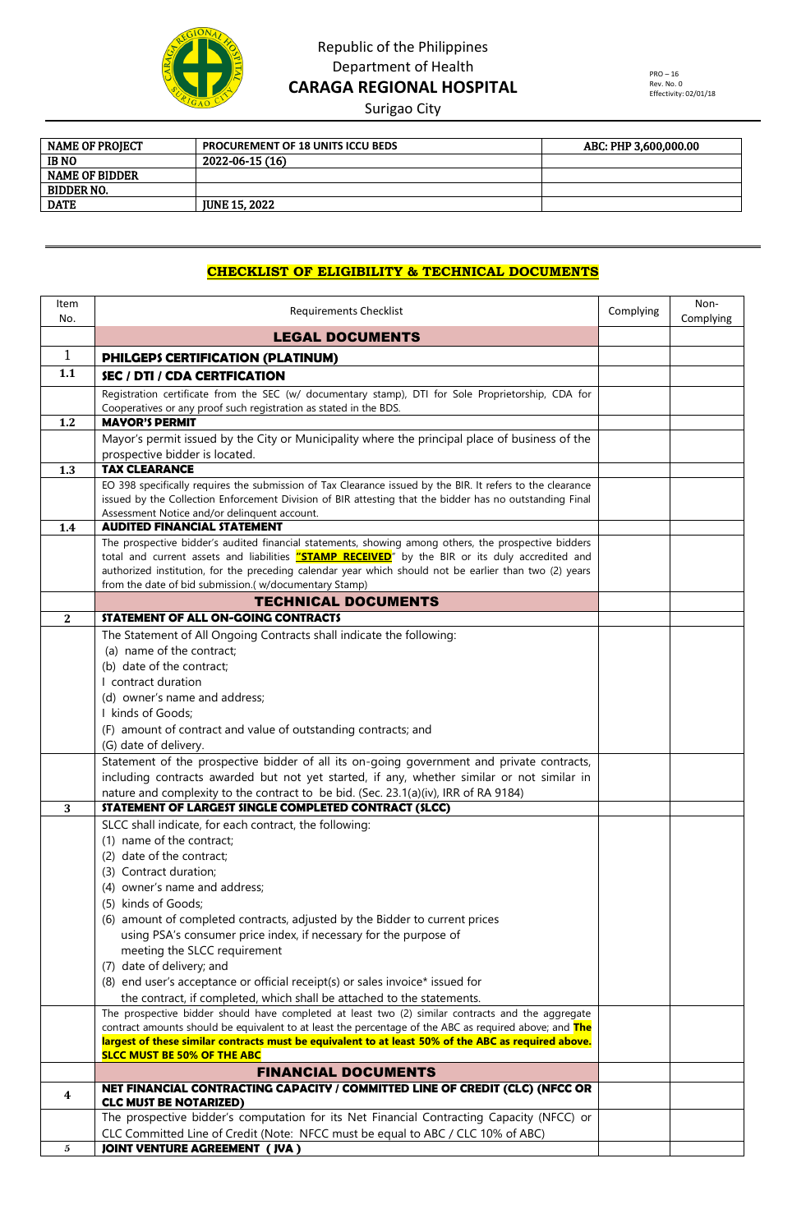

## Republic of the Philippines Department of Health **CARAGA REGIONAL HOSPITAL**

Surigao City

| <b>PROCUREMENT OF 18 UNITS ICCU BEDS</b> | ABC: PHP 3.600.000.00 |
|------------------------------------------|-----------------------|
| 2022-06-15 (16)                          |                       |
|                                          |                       |
|                                          |                       |
| <b>IUNE 15, 2022</b>                     |                       |
|                                          |                       |

### **CHECKLIST OF ELIGIBILITY & TECHNICAL DOCUMENTS**

| Item<br>No.  | <b>Requirements Checklist</b>                                                                                                                                                                                 | Complying | Non-<br>Complying |
|--------------|---------------------------------------------------------------------------------------------------------------------------------------------------------------------------------------------------------------|-----------|-------------------|
|              | <b>LEGAL DOCUMENTS</b>                                                                                                                                                                                        |           |                   |
| $\mathbf{1}$ | PHILGEPS CERTIFICATION (PLATINUM)                                                                                                                                                                             |           |                   |
| 1.1          | SEC / DTI / CDA CERTFICATION                                                                                                                                                                                  |           |                   |
|              | Registration certificate from the SEC (w/ documentary stamp), DTI for Sole Proprietorship, CDA for                                                                                                            |           |                   |
|              | Cooperatives or any proof such registration as stated in the BDS.                                                                                                                                             |           |                   |
| 1.2          | <b>MAYOR'S PERMIT</b>                                                                                                                                                                                         |           |                   |
|              | Mayor's permit issued by the City or Municipality where the principal place of business of the                                                                                                                |           |                   |
| 1.3          | prospective bidder is located.<br><b>TAX CLEARANCE</b>                                                                                                                                                        |           |                   |
|              | EO 398 specifically requires the submission of Tax Clearance issued by the BIR. It refers to the clearance                                                                                                    |           |                   |
|              | issued by the Collection Enforcement Division of BIR attesting that the bidder has no outstanding Final                                                                                                       |           |                   |
|              | Assessment Notice and/or delinquent account.                                                                                                                                                                  |           |                   |
| 1.4          | <b>AUDITED FINANCIAL STATEMENT</b>                                                                                                                                                                            |           |                   |
|              | The prospective bidder's audited financial statements, showing among others, the prospective bidders<br>total and current assets and liabilities "STAMP RECEIVED" by the BIR or its duly accredited and       |           |                   |
|              | authorized institution, for the preceding calendar year which should not be earlier than two (2) years                                                                                                        |           |                   |
|              | from the date of bid submission.( w/documentary Stamp)                                                                                                                                                        |           |                   |
|              | <b>TECHNICAL DOCUMENTS</b>                                                                                                                                                                                    |           |                   |
| $\mathbf{2}$ | STATEMENT OF ALL ON-GOING CONTRACTS                                                                                                                                                                           |           |                   |
|              | The Statement of All Ongoing Contracts shall indicate the following:                                                                                                                                          |           |                   |
|              | (a) name of the contract;                                                                                                                                                                                     |           |                   |
|              | (b) date of the contract;                                                                                                                                                                                     |           |                   |
|              | I contract duration                                                                                                                                                                                           |           |                   |
|              | (d) owner's name and address;                                                                                                                                                                                 |           |                   |
|              | I kinds of Goods;<br>(F) amount of contract and value of outstanding contracts; and                                                                                                                           |           |                   |
|              | (G) date of delivery.                                                                                                                                                                                         |           |                   |
|              | Statement of the prospective bidder of all its on-going government and private contracts,                                                                                                                     |           |                   |
|              | including contracts awarded but not yet started, if any, whether similar or not similar in                                                                                                                    |           |                   |
|              | nature and complexity to the contract to be bid. (Sec. 23.1(a)(iv), IRR of RA 9184)                                                                                                                           |           |                   |
| 3            | STATEMENT OF LARGEST SINGLE COMPLETED CONTRACT (SLCC)                                                                                                                                                         |           |                   |
|              | SLCC shall indicate, for each contract, the following:                                                                                                                                                        |           |                   |
|              | (1) name of the contract;                                                                                                                                                                                     |           |                   |
|              | (2) date of the contract;                                                                                                                                                                                     |           |                   |
|              | (3) Contract duration;                                                                                                                                                                                        |           |                   |
|              | (4) owner's name and address;                                                                                                                                                                                 |           |                   |
|              | (5) kinds of Goods;<br>(6) amount of completed contracts, adjusted by the Bidder to current prices                                                                                                            |           |                   |
|              | using PSA's consumer price index, if necessary for the purpose of                                                                                                                                             |           |                   |
|              | meeting the SLCC requirement                                                                                                                                                                                  |           |                   |
|              | (7) date of delivery; and                                                                                                                                                                                     |           |                   |
|              | (8) end user's acceptance or official receipt(s) or sales invoice* issued for                                                                                                                                 |           |                   |
|              | the contract, if completed, which shall be attached to the statements.                                                                                                                                        |           |                   |
|              | The prospective bidder should have completed at least two (2) similar contracts and the aggregate                                                                                                             |           |                   |
|              | contract amounts should be equivalent to at least the percentage of the ABC as required above; and The<br>largest of these similar contracts must be equivalent to at least 50% of the ABC as required above. |           |                   |
|              | <b>SLCC MUST BE 50% OF THE ABC</b>                                                                                                                                                                            |           |                   |
|              | <b>FINANCIAL DOCUMENTS</b>                                                                                                                                                                                    |           |                   |
| 4            | NET FINANCIAL CONTRACTING CAPACITY / COMMITTED LINE OF CREDIT (CLC) (NFCC OR                                                                                                                                  |           |                   |
|              | <b>CLC MUST BE NOTARIZED)</b>                                                                                                                                                                                 |           |                   |
|              | The prospective bidder's computation for its Net Financial Contracting Capacity (NFCC) or                                                                                                                     |           |                   |
| 5            | CLC Committed Line of Credit (Note: NFCC must be equal to ABC / CLC 10% of ABC)<br><b>JOINT VENTURE AGREEMENT (JVA)</b>                                                                                       |           |                   |
|              |                                                                                                                                                                                                               |           |                   |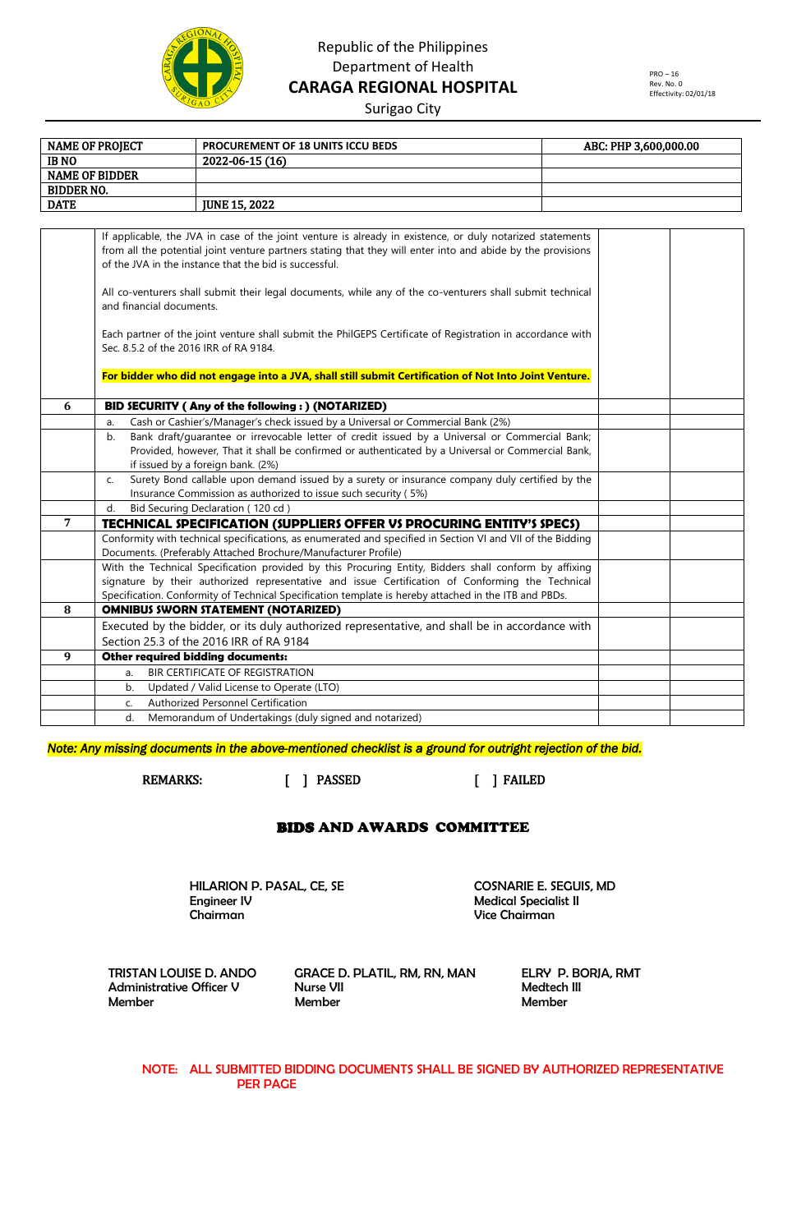

## Republic of the Philippines Department of Health **CARAGA REGIONAL HOSPITAL**

PRO – 16 Rev. No. 0 Effectivity: 02/01/18

Surigao City

| <b>NAME OF PROJECT</b> | PROCUREMENT OF 18 UNITS ICCU BEDS                                                                                                                                                                                                                                                  | ABC: PHP 3,600,000.00 |
|------------------------|------------------------------------------------------------------------------------------------------------------------------------------------------------------------------------------------------------------------------------------------------------------------------------|-----------------------|
| <b>IBNO</b>            | 2022-06-15 (16)                                                                                                                                                                                                                                                                    |                       |
| <b>NAME OF BIDDER</b>  |                                                                                                                                                                                                                                                                                    |                       |
| <b>BIDDER NO.</b>      |                                                                                                                                                                                                                                                                                    |                       |
| <b>DATE</b>            | <b>JUNE 15, 2022</b>                                                                                                                                                                                                                                                               |                       |
|                        |                                                                                                                                                                                                                                                                                    |                       |
|                        | If applicable, the JVA in case of the joint venture is already in existence, or duly notarized statements<br>from all the potential joint venture partners stating that they will enter into and abide by the provisions<br>of the JVA in the instance that the bid is successful. |                       |
|                        | All co-venturers shall submit their legal documents, while any of the co-venturers shall submit technical<br>and financial documents.                                                                                                                                              |                       |
|                        | Each partner of the joint venture shall submit the PhilGEPS Certificate of Registration in accordance with<br>Sec. 8.5.2 of the 2016 IRR of RA 9184.                                                                                                                               |                       |
|                        | For bidder who did not engage into a JVA, shall still submit Certification of Not Into Joint Venture.                                                                                                                                                                              |                       |
| 6                      | BID SECURITY (Any of the following:) (NOTARIZED)                                                                                                                                                                                                                                   |                       |
| a.                     | Cash or Cashier's/Manager's check issued by a Universal or Commercial Bank (2%)                                                                                                                                                                                                    |                       |
| b.                     | Bank draft/guarantee or irrevocable letter of credit issued by a Universal or Commercial Bank;                                                                                                                                                                                     |                       |
|                        | Provided, however, That it shall be confirmed or authenticated by a Universal or Commercial Bank,<br>if issued by a foreign bank. (2%)                                                                                                                                             |                       |
| C.                     | Surety Bond callable upon demand issued by a surety or insurance company duly certified by the                                                                                                                                                                                     |                       |
|                        | Insurance Commission as authorized to issue such security (5%)                                                                                                                                                                                                                     |                       |
| d.                     | Bid Securing Declaration (120 cd)                                                                                                                                                                                                                                                  |                       |
| 7                      | <b>TECHNICAL SPECIFICATION (SUPPLIERS OFFER VS PROCURING ENTITY'S SPECS)</b>                                                                                                                                                                                                       |                       |
|                        | Conformity with technical specifications, as enumerated and specified in Section VI and VII of the Bidding                                                                                                                                                                         |                       |
|                        | Documents. (Preferably Attached Brochure/Manufacturer Profile)                                                                                                                                                                                                                     |                       |
|                        | With the Technical Specification provided by this Procuring Entity, Bidders shall conform by affixing                                                                                                                                                                              |                       |
|                        | signature by their authorized representative and issue Certification of Conforming the Technical                                                                                                                                                                                   |                       |
| 8                      | Specification. Conformity of Technical Specification template is hereby attached in the ITB and PBDs.<br><b>OMNIBUS SWORN STATEMENT (NOTARIZED)</b>                                                                                                                                |                       |
|                        | Executed by the bidder, or its duly authorized representative, and shall be in accordance with                                                                                                                                                                                     |                       |
|                        | Section 25.3 of the 2016 IRR of RA 9184                                                                                                                                                                                                                                            |                       |
| 9                      | Other required bidding documents:                                                                                                                                                                                                                                                  |                       |
| a.                     | BIR CERTIFICATE OF REGISTRATION                                                                                                                                                                                                                                                    |                       |
| b.                     | Updated / Valid License to Operate (LTO)                                                                                                                                                                                                                                           |                       |
| C.                     | Authorized Personnel Certification                                                                                                                                                                                                                                                 |                       |
| d.                     | Memorandum of Undertakings (duly signed and notarized)                                                                                                                                                                                                                             |                       |

*Note: Any missing documents in the above-mentioned checklist is a ground for outright rejection of the bid.* 

REMARKS: [ ] PASSED [ ] FAILED

#### BIDS AND AWARDS COMMITTEE

HILARION P. PASAL, CE, SE COSNARIE E. SEGUIS, MD<br>Engineer IV Function of the Medical Specialist II Chairman Vice Chairman

**Medical Specialist II** 

TRISTAN LOUISE D. ANDO GRACE D. PLATIL, RM, RN, MAN ELRY P. BORJA, RMT<br>Administrative Officer V Nurse VII Nurse VII Administrative Officer V Nurse VII Medtech III Member Member Member

NOTE: ALL SUBMITTED BIDDING DOCUMENTS SHALL BE SIGNED BY AUTHORIZED REPRESENTATIVE PER PAGE